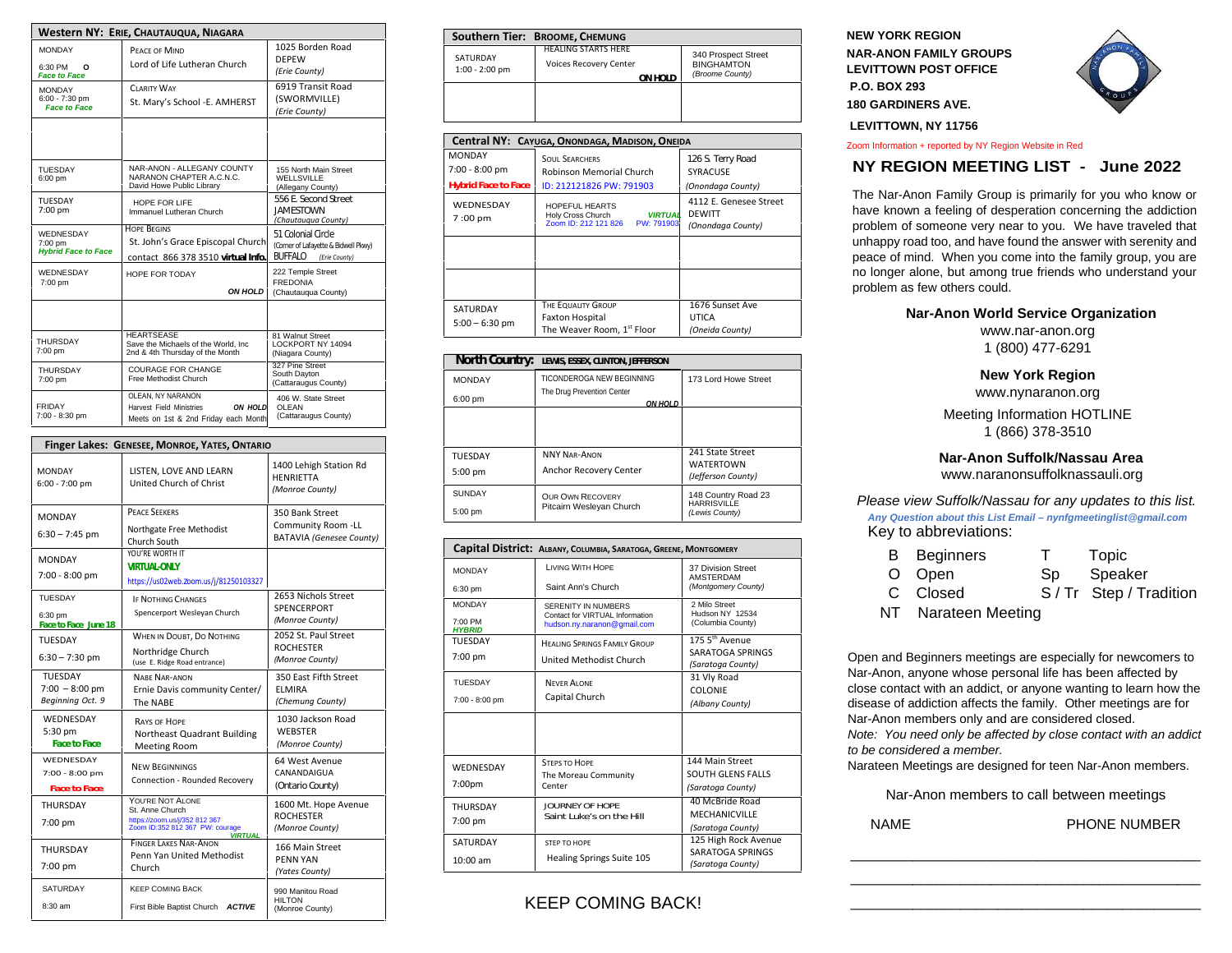| Western NY: ERIE, CHAUTAUQUA, NIAGARA                  |                                                                                                         |                                                                                               |  |
|--------------------------------------------------------|---------------------------------------------------------------------------------------------------------|-----------------------------------------------------------------------------------------------|--|
| <b>MONDAY</b><br>6:30 PM<br>O<br><b>Face to Face</b>   | PEACE OF MIND<br>Lord of Life Lutheran Church                                                           | 1025 Borden Road<br><b>DEPEW</b><br>(Erie County)                                             |  |
| <b>MONDAY</b><br>6:00 - 7:30 pm<br><b>Face to Face</b> | <b>CLARITY WAY</b><br>St. Mary's School -E. AMHERST                                                     | 6919 Transit Road<br>(SWORMVILLE)<br>(Erie County)                                            |  |
|                                                        |                                                                                                         |                                                                                               |  |
| <b>TUESDAY</b><br>6:00 pm                              | NAR-ANON - ALLEGANY COUNTY<br>NARANON CHAPTER A.C.N.C.<br>David Howe Public Library                     | 155 North Main Street<br><b>WELLSVILLE</b><br>(Allegany County)                               |  |
| <b>TUESDAY</b><br>7:00 pm                              | HOPE FOR LIFE<br>Immanuel Lutheran Church                                                               | 556 F. Second Street<br><b>JAMESTOWN</b><br>(Chautaugua County)                               |  |
| WEDNESDAY<br>7:00 pm<br><b>Hybrid Face to Face</b>     | <b>HOPE BEGINS</b><br>St. John's Grace Episcopal Church<br>contact 866 378 3510 virtual Info.           | 51 Colonial Circle<br>(Corner of Lafayette & Bidwell Pkwy)<br><b>BUFFALO</b><br>(Erie County) |  |
| WEDNESDAY<br>7:00 pm                                   | HOPE FOR TODAY<br><b>ON HOLD</b>                                                                        | 222 Temple Street<br><b>FREDONIA</b><br>(Chautauqua County)                                   |  |
|                                                        |                                                                                                         |                                                                                               |  |
| THURSDAY<br>7:00 pm                                    | <b>HEARTSEASE</b><br>Save the Michaels of the World, Inc.<br>2nd & 4th Thursday of the Month            | 81 Walnut Street<br>LOCKPORT NY 14094<br>(Niagara County)                                     |  |
| <b>THURSDAY</b><br>7:00 pm                             | <b>COURAGE FOR CHANGE</b><br>Free Methodist Church                                                      | 327 Pine Street<br>South Dayton<br>(Cattaraugus County)                                       |  |
| FRIDAY<br>7:00 - 8:30 pm                               | OLEAN. NY NARANON<br><b>Harvest Field Ministries</b><br>ON HOLD<br>Meets on 1st & 2nd Friday each Month | 406 W. State Street<br><b>OLEAN</b><br>(Cattaraugus County)                                   |  |

| Finger Lakes: GENESEE, MONROE, YATES, ONTARIO          |                                                                                                                           |                                                                          |  |
|--------------------------------------------------------|---------------------------------------------------------------------------------------------------------------------------|--------------------------------------------------------------------------|--|
| <b>MONDAY</b><br>$6:00 - 7:00$ pm                      | LISTEN, LOVE AND LEARN<br>United Church of Christ                                                                         | 1400 Lehigh Station Rd<br><b>HENRIETTA</b><br>(Monroe County)            |  |
| <b>MONDAY</b><br>$6:30 - 7:45$ pm                      | <b>PEACE SEEKERS</b><br>Northgate Free Methodist<br>Church South                                                          | 350 Bank Street<br>Community Room -LL<br><b>BATAVIA (Genesee County)</b> |  |
| <b>MONDAY</b><br>7:00 - 8:00 pm                        | YOU'RE WORTH IT<br><b>VIRTUAI-ONIY</b><br>https://us02web.zoom.us/j/81250103327                                           |                                                                          |  |
| TUESDAY<br>6:30 pm<br>Face to Face June 18             | <b>IF NOTHING CHANGES</b><br>Spencerport Wesleyan Church                                                                  | 2653 Nichols Street<br>SPENCERPORT<br>(Monroe County)                    |  |
| <b>TUESDAY</b><br>$6:30 - 7:30$ pm                     | WHEN IN DOUBT, DO NOTHING<br>Northridge Church<br>(use E. Ridge Road entrance)                                            | 2052 St. Paul Street<br><b>ROCHESTER</b><br>(Monroe County)              |  |
| <b>TUESDAY</b><br>$7:00 - 8:00$ pm<br>Beginning Oct. 9 | <b>NARF NAR-ANON</b><br>Ernie Davis community Center/<br>The NABE                                                         | 350 East Fifth Street<br><b>ELMIRA</b><br>(Chemung County)               |  |
| WEDNESDAY<br>5:30 pm<br><b>Face to Face</b>            | <b>RAYS OF HOPE</b><br>Northeast Quadrant Building<br><b>Meeting Room</b>                                                 | 1030 Jackson Road<br><b>WEBSTER</b><br>(Monroe County)                   |  |
| WEDNESDAY<br>7:00 - 8:00 pm<br><b>Face to Face</b>     | <b>NEW BEGINNINGS</b><br>Connection - Rounded Recovery                                                                    | 64 West Avenue<br>CANANDAIGUA<br>(Ontario County)                        |  |
| THURSDAY<br>7:00 pm                                    | YOU'RE NOT ALONE<br>St. Anne Church<br>https://zoom.us/j/352 812 367<br>Zoom ID:352 812 367 PW: courage<br><b>VIRTUAL</b> | 1600 Mt. Hope Avenue<br><b>ROCHESTER</b><br>(Monroe County)              |  |
| THURSDAY<br>7:00 pm                                    | <b>FINGER LAKES NAR-ANON</b><br>Penn Yan United Methodist<br>Church                                                       | 166 Main Street<br><b>PENN YAN</b><br>(Yates County)                     |  |
| SATURDAY<br>8:30 am                                    | <b>KEEP COMING BACK</b><br><b>ACTIVE</b><br>First Bible Baptist Church                                                    | 990 Manitou Road<br><b>HILTON</b><br>(Monroe County)                     |  |

|                              | Southern Tier: BROOME, CHEMUNG                                         |                                                             |
|------------------------------|------------------------------------------------------------------------|-------------------------------------------------------------|
| SATURDAY<br>$1:00 - 2:00$ pm | <b>HEALING STARTS HERE</b><br><b>Voices Recovery Center</b><br>ON HOLD | 340 Prospect Street<br><b>BINGHAMTON</b><br>(Broome County) |
|                              |                                                                        |                                                             |

| Central NY: CAYUGA, ONONDAGA, MADISON, ONEIDA |                                                                                          |                                                              |  |
|-----------------------------------------------|------------------------------------------------------------------------------------------|--------------------------------------------------------------|--|
| <b>MONDAY</b>                                 | <b>SOUL SEARCHERS</b>                                                                    | 126 S. Terry Road                                            |  |
| 7:00 - 8:00 pm                                | Robinson Memorial Church                                                                 | SYRACUSE                                                     |  |
| <b>Hybrid Face to Face</b>                    | ID: 212121826 PW: 791903                                                                 | (Onondaga County)                                            |  |
| <b>WEDNESDAY</b><br>7:00 pm                   | HOPEFUL HEARTS<br><b>VIRTUAL</b><br>Holy Cross Church<br>Zoom ID: 212 121 826 PW: 791903 | 4112 E. Genesee Street<br><b>DEWITT</b><br>(Onondaga County) |  |
|                                               |                                                                                          |                                                              |  |
|                                               |                                                                                          |                                                              |  |
| SATURDAY                                      | THE EQUALITY GROUP                                                                       | 1676 Sunset Ave                                              |  |
| $5:00 - 6:30$ pm                              | <b>Faxton Hospital</b><br>The Weaver Room, 1st Floor                                     | <b>UTICA</b><br>(Oneida County)                              |  |

| North Country: | LEWIS, ESSEX, CLINTON, JEFFERSON       |                                        |
|----------------|----------------------------------------|----------------------------------------|
| <b>MONDAY</b>  | TICONDEROGA NEW BEGINNING              | 173 Lord Howe Street                   |
| 6:00 pm        | The Drug Prevention Center<br>ON HOI D |                                        |
|                |                                        |                                        |
|                |                                        |                                        |
| TUESDAY        | <b>NNY NAR-ANON</b>                    | 241 State Street                       |
| $5:00$ pm      | Anchor Recovery Center                 | <b>WATERTOWN</b><br>(Jefferson County) |
| <b>SUNDAY</b>  | <b>OUR OWN RECOVERY</b>                | 148 Country Road 23                    |
| 5:00 pm        | Pitcairn Wesleyan Church               | <b>HARRISVILLE</b><br>(Lewis County)   |

|                          | Capital District: ALBANY, COLUMBIA, SARATOGA, GREENE, MONTGOMERY |                                                |  |
|--------------------------|------------------------------------------------------------------|------------------------------------------------|--|
| <b>MONDAY</b>            | <b>LIVING WITH HOPF</b>                                          | 37 Division Street<br>AMSTERDAM                |  |
| 6:30 pm                  | Saint Ann's Church                                               | (Montgomery County)                            |  |
| <b>MONDAY</b>            | SERENITY IN NUMBERS<br>Contact for VIRTUAL Information           | 2 Milo Street<br>Hudson NY 12534               |  |
| 7:00 PM<br><b>HYBRID</b> | hudson.ny.naranon@gmail.com                                      | (Columbia County)                              |  |
| TUESDAY                  | <b>HEALING SPRINGS FAMILY GROUP</b>                              | 175 5 <sup>th</sup> Avenue<br>SARATOGA SPRINGS |  |
| 7:00 pm                  | United Methodist Church                                          | (Saratoga County)                              |  |
| <b>TUESDAY</b>           | <b>NEVER ALONE</b>                                               | 31 Vly Road<br><b>COLONIE</b>                  |  |
| 7:00 - 8:00 pm           | Capital Church                                                   | (Albany County)                                |  |
|                          |                                                                  |                                                |  |
| WEDNESDAY                | <b>STEPS TO HOPE</b>                                             | 144 Main Street                                |  |
| 7:00pm                   | The Moreau Community<br>Center                                   | SOUTH GLENS FALLS<br>(Saratoga County)         |  |
| THURSDAY                 | <b>IOURNEY OF HOPE</b>                                           | 40 McBride Road                                |  |
| 7:00 pm                  | Saint Luke's on the Hill                                         | <b>MECHANICVILLE</b><br>(Saratoga County)      |  |
| SATURDAY                 | STEP TO HOPE                                                     | 125 High Rock Avenue                           |  |
| 10:00 am                 | Healing Springs Suite 105                                        | SARATOGA SPRINGS<br>(Saratoga County)          |  |

KEEP COMING BACK!

**NEW YORK REGION NAR-ANON FAMILY GROUPS LEVITTOWN POST OFFICE P.O. BOX 293 180 GARDINERS AVE.** 



 **LEVITTOWN, NY 11756**

Zoom Information + reported by NY Region Website in Red

# **NY REGION MEETING LIST - June 2022**

The Nar-Anon Family Group is primarily for you who know or have known a feeling of desperation concerning the addiction problem of someone very near to you. We have traveled that unhappy road too, and have found the answer with serenity and peace of mind. When you come into the family group, you are no longer alone, but among true friends who understand your problem as few others could.

#### **Nar-Anon World Service Organization**

www.nar-anon.org 1 (800) 477-6291

#### **New York Region**

www.nynaranon.org

Meeting Information HOTLINE 1 (866) 378-3510

# **Nar-Anon Suffolk/Nassau Area**

www.naranonsuffolknassauli.org

*Please view Suffolk/Nassau for any updates to this list. Any Question about this List Email – nynfgmeetinglist@gmail.com*  Key to abbreviations:

| <b>B</b> Beginners  | $\top$ | Topic               |
|---------------------|--------|---------------------|
| O Open              | Sp     | Speaker             |
| C Closed            |        | S/Tr Step/Tradition |
| NT Narateen Meeting |        |                     |

Open and Beginners meetings are especially for newcomers to Nar-Anon, anyone whose personal life has been affected by close contact with an addict, or anyone wanting to learn how the disease of addiction affects the family. Other meetings are for Nar-Anon members only and are considered closed. *Note: You need only be affected by close contact with an addict to be considered a member.*

Narateen Meetings are designed for teen Nar-Anon members.

Nar-Anon members to call between meetings

\_\_\_\_\_\_\_\_\_\_\_\_\_\_\_\_\_\_\_\_\_\_\_\_\_\_\_\_\_\_\_\_\_\_\_\_\_\_\_\_\_\_\_\_\_ \_\_\_\_\_\_\_\_\_\_\_\_\_\_\_\_\_\_\_\_\_\_\_\_\_\_\_\_\_\_\_\_\_\_\_\_\_\_\_\_\_\_\_\_\_ \_\_\_\_\_\_\_\_\_\_\_\_\_\_\_\_\_\_\_\_\_\_\_\_\_\_\_\_\_\_\_\_\_\_\_\_\_\_\_\_\_\_\_\_\_

NAME PHONE NUMBER